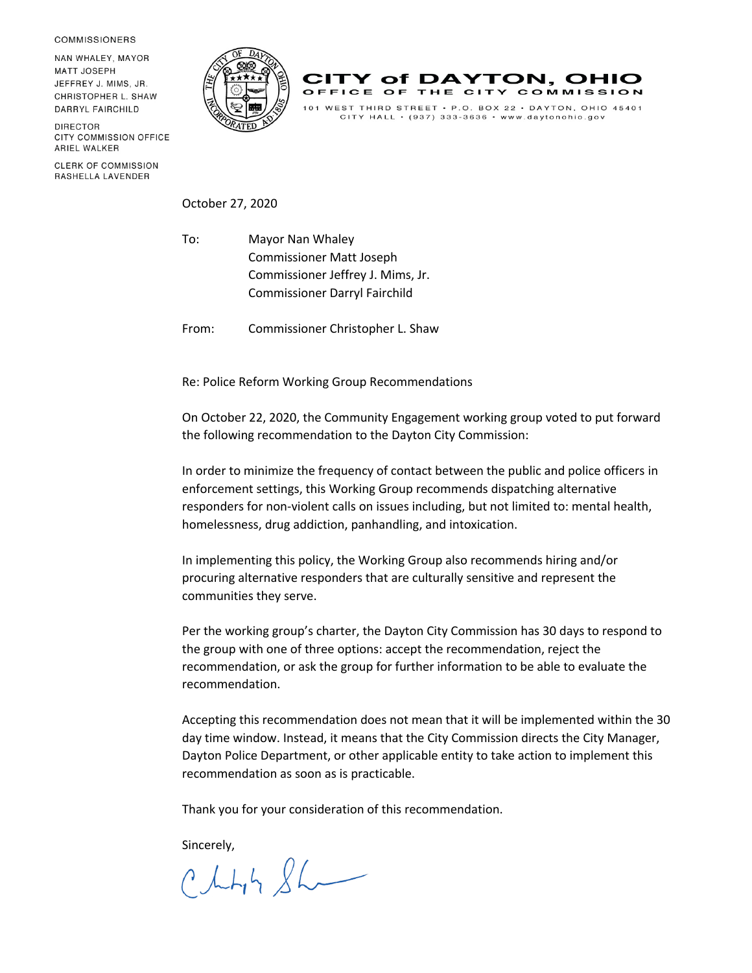**COMMISSIONERS** 

NAN WHALEY, MAYOR **MATT JOSEPH** JEFFREY J. MIMS, JR. CHRISTOPHER L. SHAW DARRYL FAIRCHILD

**DIRECTOR** CITY COMMISSION OFFICE ARIEL WALKER

**CLERK OF COMMISSION** RASHELLA LAVENDER





 $CITY$  HALL  $\cdot$  (937) 333-3636  $\cdot$  www.daytonohio.gov

October 27, 2020

To: Mayor Nan Whaley Commissioner Matt Joseph Commissioner Jeffrey J. Mims, Jr. Commissioner Darryl Fairchild

From: Commissioner Christopher L. Shaw

Re: Police Reform Working Group Recommendations

On October 22, 2020, the Community Engagement working group voted to put forward the following recommendation to the Dayton City Commission:

In order to minimize the frequency of contact between the public and police officers in enforcement settings, this Working Group recommends dispatching alternative responders for non-violent calls on issues including, but not limited to: mental health, homelessness, drug addiction, panhandling, and intoxication.

In implementing this policy, the Working Group also recommends hiring and/or procuring alternative responders that are culturally sensitive and represent the communities they serve.

Per the working group's charter, the Dayton City Commission has 30 days to respond to the group with one of three options: accept the recommendation, reject the recommendation, or ask the group for further information to be able to evaluate the recommendation.

Accepting this recommendation does not mean that it will be implemented within the 30 day time window. Instead, it means that the City Commission directs the City Manager, Dayton Police Department, or other applicable entity to take action to implement this recommendation as soon as is practicable.

Thank you for your consideration of this recommendation.

sincerely,<br> $ChL_1h \& L$